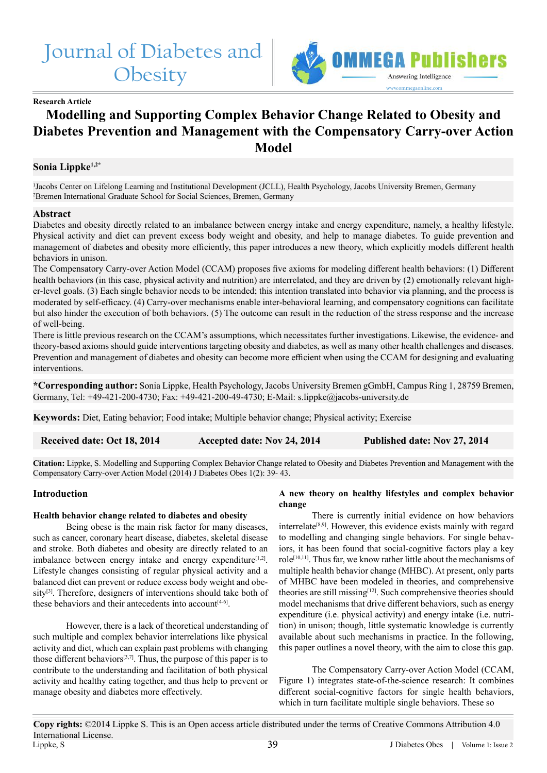# Journal of Diabetes and **Obesity**



#### **Research Article**

# **Modelling and Supporting Complex Behavior Change Related to Obesity and Diabetes Prevention and Management with the Compensatory Carry-over Action Model**

# **Sonia Lippke1,2\***

1 Jacobs Center on Lifelong Learning and Institutional Development (JCLL), Health Psychology, Jacobs University Bremen, Germany 2 Bremen International Graduate School for Social Sciences, Bremen, Germany

#### **Abstract**

Diabetes and obesity directly related to an imbalance between energy intake and energy expenditure, namely, a healthy lifestyle. Physical activity and diet can prevent excess body weight and obesity, and help to manage diabetes. To guide prevention and management of diabetes and obesity more efficiently, this paper introduces a new theory, which explicitly models different health behaviors in unison.

The Compensatory Carry-over Action Model (CCAM) proposes five axioms for modeling different health behaviors: (1) Different health behaviors (in this case, physical activity and nutrition) are interrelated, and they are driven by (2) emotionally relevant higher-level goals. (3) Each single behavior needs to be intended; this intention translated into behavior via planning, and the process is moderated by self-efficacy. (4) Carry-over mechanisms enable inter-behavioral learning, and compensatory cognitions can facilitate but also hinder the execution of both behaviors. (5) The outcome can result in the reduction of the stress response and the increase of well-being.

There is little previous research on the CCAM's assumptions, which necessitates further investigations. Likewise, the evidence- and theory-based axioms should guide interventions targeting obesity and diabetes, as well as many other health challenges and diseases. Prevention and management of diabetes and obesity can become more efficient when using the CCAM for designing and evaluating interventions.

**\*Corresponding author:** Sonia Lippke, Health Psychology, Jacobs University Bremen gGmbH, Campus Ring 1, 28759 Bremen, Germany, Tel: +49-421-200-4730; Fax: +49-421-200-49-4730; E-Mail: s.lippke@jacobs-university.de

**Keywords:** Diet, Eating behavior; Food intake; Multiple behavior change; Physical activity; Exercise

 **Received date: Oct 18, 2014 Accepted date: Nov 24, 2014 Published date: Nov 27, 2014**

**Citation:** Lippke, S. Modelling and Supporting Complex Behavior Change related to Obesity and Diabetes Prevention and Management with the Compensatory Carry-over Action Model (2014) J Diabetes Obes 1(2): 39- 43.

#### **Introduction**

### **Health behavior change related to diabetes and obesity**

Being obese is the main risk factor for many diseases, such as cancer, coronary heart disease, diabetes, skeletal disease and stroke. Both diabetes and obesity are directly related to an imbalance between energy intake and energy expenditure $[1,2]$ . Lifestyle changes consisting of regular physical activity and a balanced diet can prevent or reduce excess body weight and obesity<sup>[3]</sup>. Therefore, designers of interventions should take both of these behaviors and their antecedents into account $[4-6]$ .

However, there is a lack of theoretical understanding of such multiple and complex behavior interrelations like physical activity and diet, which can explain past problems with changing those different behaviors $[3,7]$ . Thus, the purpose of this paper is to contribute to the understanding and facilitation of both physical activity and healthy eating together, and thus help to prevent or manage obesity and diabetes more effectively.

#### **A new theory on healthy lifestyles and complex behavior change**

There is currently initial evidence on how behaviors interrelate<sup>[8,9]</sup>. However, this evidence exists mainly with regard to modelling and changing single behaviors. For single behaviors, it has been found that social-cognitive factors play a key role[10,11]. Thus far, we know rather little about the mechanisms of multiple health behavior change (MHBC). At present, only parts of MHBC have been modeled in theories, and comprehensive theories are still missing<sup>[12]</sup>. Such comprehensive theories should model mechanisms that drive different behaviors, such as energy expenditure (i.e. physical activity) and energy intake (i.e. nutrition) in unison; though, little systematic knowledge is currently available about such mechanisms in practice. In the following, this paper outlines a novel theory, with the aim to close this gap.

The Compensatory Carry-over Action Model (CCAM, Figure 1) integrates state-of-the-science research: It combines different social-cognitive factors for single health behaviors, which in turn facilitate multiple single behaviors. These so

**Copy rights:** ©2014 Lippke S. This is an Open access article distributed under the terms of Creative Commons Attribution 4.0 International License. Lippke, S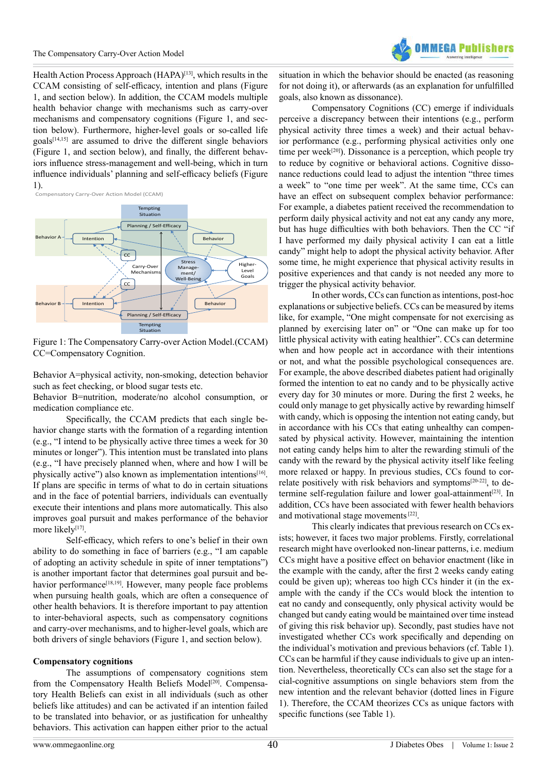**UFCA Dublic** 

Health Action Process Approach (HAPA)<sup>[13]</sup>, which results in the CCAM consisting of self-efficacy, intention and plans (Figure 1, and section below). In addition, the CCAM models multiple health behavior change with mechanisms such as carry-over mechanisms and compensatory cognitions (Figure 1, and section below). Furthermore, higher-level goals or so-called life  $goals^{[14,15]}$  are assumed to drive the different single behaviors (Figure 1, and section below), and finally, the different behaviors influence stress-management and well-being, which in turn influence individuals' planning and self-efficacy beliefs (Figure 1).

Compensatory Carry-Over Action Model (CCAM)



Figure 1: The Compensatory Carry-over Action Model.(CCAM) CC=Compensatory Cognition.

Behavior A=physical activity, non-smoking, detection behavior such as feet checking, or blood sugar tests etc.

Behavior B=nutrition, moderate/no alcohol consumption, or medication compliance etc.

Specifically, the CCAM predicts that each single behavior change starts with the formation of a regarding intention (e.g., "I intend to be physically active three times a week for 30 minutes or longer"). This intention must be translated into plans (e.g., "I have precisely planned when, where and how I will be physically active") also known as implementation intentions[16]. If plans are specific in terms of what to do in certain situations and in the face of potential barriers, individuals can eventually execute their intentions and plans more automatically. This also improves goal pursuit and makes performance of the behavior more likely<sup>[17]</sup>.

Self-efficacy, which refers to one's belief in their own ability to do something in face of barriers (e.g., "I am capable of adopting an activity schedule in spite of inner temptations") is another important factor that determines goal pursuit and behavior performance<sup>[18,19]</sup>. However, many people face problems when pursuing health goals, which are often a consequence of other health behaviors. It is therefore important to pay attention to inter-behavioral aspects, such as compensatory cognitions and carry-over mechanisms, and to higher-level goals, which are both drivers of single behaviors (Figure 1, and section below).

#### **Compensatory cognitions**

The assumptions of compensatory cognitions stem from the Compensatory Health Beliefs Model<sup>[20]</sup>. Compensatory Health Beliefs can exist in all individuals (such as other beliefs like attitudes) and can be activated if an intention failed to be translated into behavior, or as justification for unhealthy behaviors. This activation can happen either prior to the actual

situation in which the behavior should be enacted (as reasoning for not doing it), or afterwards (as an explanation for unfulfilled goals, also known as dissonance).

Compensatory Cognitions (CC) emerge if individuals perceive a discrepancy between their intentions (e.g., perform physical activity three times a week) and their actual behavior performance (e.g., performing physical activities only one time per week<sup>[20]</sup>). Dissonance is a perception, which people try to reduce by cognitive or behavioral actions. Cognitive dissonance reductions could lead to adjust the intention "three times a week" to "one time per week". At the same time, CCs can have an effect on subsequent complex behavior performance: For example, a diabetes patient received the recommendation to perform daily physical activity and not eat any candy any more, but has huge difficulties with both behaviors. Then the CC "if I have performed my daily physical activity I can eat a little candy" might help to adopt the physical activity behavior. After some time, he might experience that physical activity results in positive experiences and that candy is not needed any more to trigger the physical activity behavior.

In other words, CCs can function as intentions, post-hoc explanations or subjective beliefs. CCs can be measured by items like, for example, "One might compensate for not exercising as planned by exercising later on" or "One can make up for too little physical activity with eating healthier". CCs can determine when and how people act in accordance with their intentions or not, and what the possible psychological consequences are. For example, the above described diabetes patient had originally formed the intention to eat no candy and to be physically active every day for 30 minutes or more. During the first 2 weeks, he could only manage to get physically active by rewarding himself with candy, which is opposing the intention not eating candy, but in accordance with his CCs that eating unhealthy can compensated by physical activity. However, maintaining the intention not eating candy helps him to alter the rewarding stimuli of the candy with the reward by the physical activity itself like feeling more relaxed or happy. In previous studies, CCs found to correlate positively with risk behaviors and symptoms<sup>[20-22]</sup>, to determine self-regulation failure and lower goal-attainment<sup>[23]</sup>. In addition, CCs have been associated with fewer health behaviors and motivational stage movements [22].

This clearly indicates that previous research on CCs exists; however, it faces two major problems. Firstly, correlational research might have overlooked non-linear patterns, i.e. medium CCs might have a positive effect on behavior enactment (like in the example with the candy, after the first 2 weeks candy eating could be given up); whereas too high CCs hinder it (in the example with the candy if the CCs would block the intention to eat no candy and consequently, only physical activity would be changed but candy eating would be maintained over time instead of giving this risk behavior up). Secondly, past studies have not investigated whether CCs work specifically and depending on the individual's motivation and previous behaviors (cf. Table 1). CCs can be harmful if they cause individuals to give up an intention. Nevertheless, theoretically CCs can also set the stage for a cial-cognitive assumptions on single behaviors stem from the new intention and the relevant behavior (dotted lines in Figure 1). Therefore, the CCAM theorizes CCs as unique factors with specific functions (see Table 1).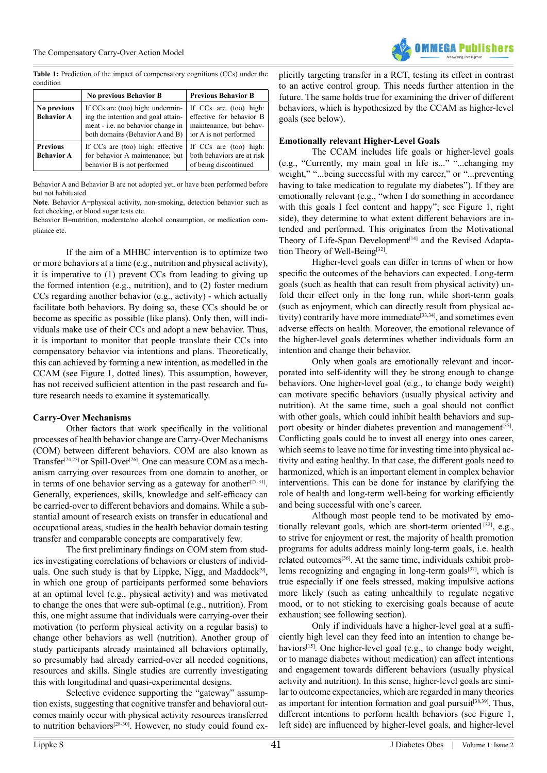

**Table 1:** Prediction of the impact of compensatory cognitions (CCs) under the condition

|                                      | <b>No previous Behavior B</b>                                                                                                                  | <b>Previous Behavior B</b>                                                                              |
|--------------------------------------|------------------------------------------------------------------------------------------------------------------------------------------------|---------------------------------------------------------------------------------------------------------|
| No previous<br><b>Behavior A</b>     | If CCs are (too) high: undermin-<br>ing the intention and goal attain-<br>ment - i.e. no behavior change in<br>both domains (Behavior A and B) | If CCs are (too) high:<br>effective for behavior B<br>maintenance, but behav-<br>ior A is not performed |
| <b>Previous</b><br><b>Behavior A</b> | If CCs are (too) high: effective<br>for behavior A maintenance; but<br>behavior B is not performed                                             | If CCs are (too) high:<br>both behaviors are at risk<br>of being discontinued                           |

Behavior A and Behavior B are not adopted yet, or have been performed before but not habituated.

Note. Behavior A=physical activity, non-smoking, detection behavior such as feet checking, or blood sugar tests etc.

Behavior B=nutrition, moderate/no alcohol consumption, or medication compliance etc.

If the aim of a MHBC intervention is to optimize two or more behaviors at a time (e.g., nutrition and physical activity), it is imperative to (1) prevent CCs from leading to giving up the formed intention (e.g., nutrition), and to (2) foster medium CCs regarding another behavior (e.g., activity) - which actually facilitate both behaviors. By doing so, these CCs should be or become as specific as possible (like plans). Only then, will individuals make use of their CCs and adopt a new behavior. Thus, it is important to monitor that people translate their CCs into compensatory behavior via intentions and plans. Theoretically, this can achieved by forming a new intention, as modelled in the CCAM (see Figure 1, dotted lines). This assumption, however, has not received sufficient attention in the past research and future research needs to examine it systematically.

#### **Carry-Over Mechanisms**

Other factors that work specifically in the volitional processes of health behavior change are Carry-Over Mechanisms (COM) between different behaviors. COM are also known as Transfer[24,25] or Spill-Over[26]. One can measure COM as a mechanism carrying over resources from one domain to another, or in terms of one behavior serving as a gateway for another $[27-31]$ . Generally, experiences, skills, knowledge and self-efficacy can be carried-over to different behaviors and domains. While a substantial amount of research exists on transfer in educational and occupational areas, studies in the health behavior domain testing transfer and comparable concepts are comparatively few.

The first preliminary findings on COM stem from studies investigating correlations of behaviors or clusters of individuals. One such study is that by Lippke, Nigg, and Maddock<sup>[9]</sup>, in which one group of participants performed some behaviors at an optimal level (e.g., physical activity) and was motivated to change the ones that were sub-optimal (e.g., nutrition). From this, one might assume that individuals were carrying-over their motivation (to perform physical activity on a regular basis) to change other behaviors as well (nutrition). Another group of study participants already maintained all behaviors optimally, so presumably had already carried-over all needed cognitions, resources and skills. Single studies are currently investigating this with longitudinal and quasi-experimental designs.

Selective evidence supporting the "gateway" assumption exists, suggesting that cognitive transfer and behavioral outcomes mainly occur with physical activity resources transferred to nutrition behaviors<sup>[28-30]</sup>. However, no study could found explicitly targeting transfer in a RCT, testing its effect in contrast to an active control group. This needs further attention in the future. The same holds true for examining the driver of different behaviors, which is hypothesized by the CCAM as higher-level goals (see below).

# **Emotionally relevant Higher-Level Goals**

The CCAM includes life goals or higher-level goals (e.g., "Currently, my main goal in life is..." "...changing my weight," "...being successful with my career," or "...preventing having to take medication to regulate my diabetes"). If they are emotionally relevant (e.g., "when I do something in accordance with this goals I feel content and happy"; see Figure 1, right side), they determine to what extent different behaviors are intended and performed. This originates from the Motivational Theory of Life-Span Development<sup>[14]</sup> and the Revised Adaptation Theory of Well-Being<sup>[32]</sup>.

Higher-level goals can differ in terms of when or how specific the outcomes of the behaviors can expected. Long-term goals (such as health that can result from physical activity) unfold their effect only in the long run, while short-term goals (such as enjoyment, which can directly result from physical activity) contrarily have more immediate<sup>[33,34]</sup>, and sometimes even adverse effects on health. Moreover, the emotional relevance of the higher-level goals determines whether individuals form an intention and change their behavior.

Only when goals are emotionally relevant and incorporated into self-identity will they be strong enough to change behaviors. One higher-level goal (e.g., to change body weight) can motivate specific behaviors (usually physical activity and nutrition). At the same time, such a goal should not conflict with other goals, which could inhibit health behaviors and support obesity or hinder diabetes prevention and management<sup>[35]</sup>. Conflicting goals could be to invest all energy into ones career, which seems to leave no time for investing time into physical activity and eating healthy. In that case, the different goals need to harmonized, which is an important element in complex behavior interventions. This can be done for instance by clarifying the role of health and long-term well-being for working efficiently and being successful with one's career.

Although most people tend to be motivated by emotionally relevant goals, which are short-term oriented [32], e.g., to strive for enjoyment or rest, the majority of health promotion programs for adults address mainly long-term goals, i.e. health related outcomes[36]. At the same time, individuals exhibit problems recognizing and engaging in long-term goals<sup>[37]</sup>, which is true especially if one feels stressed, making impulsive actions more likely (such as eating unhealthily to regulate negative mood, or to not sticking to exercising goals because of acute exhaustion; see following section).

Only if individuals have a higher-level goal at a sufficiently high level can they feed into an intention to change behaviors<sup>[15]</sup>. One higher-level goal (e.g., to change body weight, or to manage diabetes without medication) can affect intentions and engagement towards different behaviors (usually physical activity and nutrition). In this sense, higher-level goals are similar to outcome expectancies, which are regarded in many theories as important for intention formation and goal pursuit<sup>[38,39]</sup>. Thus, different intentions to perform health behaviors (see Figure 1, left side) are influenced by higher-level goals, and higher-level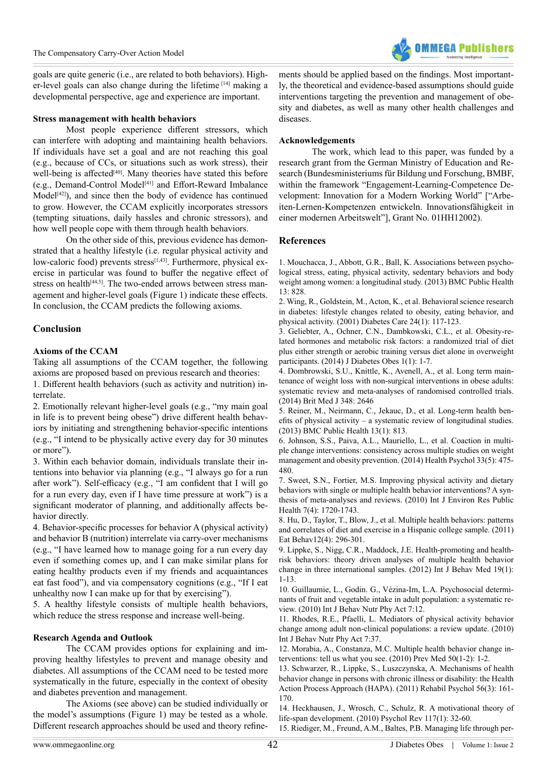goals are quite generic (i.e., are related to both behaviors). Higher-level goals can also change during the lifetime [14] making a developmental perspective, age and experience are important.

#### **Stress management with health behaviors**

Most people experience different stressors, which can interfere with adopting and maintaining health behaviors. If individuals have set a goal and are not reaching this goal (e.g., because of CCs, or situations such as work stress), their well-being is affected<sup>[40]</sup>. Many theories have stated this before (e.g., Demand-Control Model[41] and Effort-Reward Imbalance Model[42]), and since then the body of evidence has continued to grow. However, the CCAM explicitly incorporates stressors (tempting situations, daily hassles and chronic stressors), and how well people cope with them through health behaviors.

On the other side of this, previous evidence has demonstrated that a healthy lifestyle (i.e. regular physical activity and low-caloric food) prevents stress<sup>[1,43]</sup>. Furthermore, physical exercise in particular was found to buffer the negative effect of stress on health $[44,5]$ . The two-ended arrows between stress management and higher-level goals (Figure 1) indicate these effects. In conclusion, the CCAM predicts the following axioms.

#### **Conclusion**

#### **Axioms of the CCAM**

Taking all assumptions of the CCAM together, the following axioms are proposed based on previous research and theories:

1. Different health behaviors (such as activity and nutrition) interrelate.

2. Emotionally relevant higher-level goals (e.g., "my main goal in life is to prevent being obese") drive different health behaviors by initiating and strengthening behavior-specific intentions (e.g., "I intend to be physically active every day for 30 minutes or more").

3. Within each behavior domain, individuals translate their intentions into behavior via planning (e.g., "I always go for a run after work"). Self-efficacy (e.g., "I am confident that I will go for a run every day, even if I have time pressure at work") is a significant moderator of planning, and additionally affects behavior directly.

4. Behavior-specific processes for behavior A (physical activity) and behavior B (nutrition) interrelate via carry-over mechanisms (e.g., "I have learned how to manage going for a run every day even if something comes up, and I can make similar plans for eating healthy products even if my friends and acquaintances eat fast food"), and via compensatory cognitions (e.g., "If I eat unhealthy now I can make up for that by exercising").

5. A healthy lifestyle consists of multiple health behaviors, which reduce the stress response and increase well-being.

#### **Research Agenda and Outlook**

The CCAM provides options for explaining and improving healthy lifestyles to prevent and manage obesity and diabetes. All assumptions of the CCAM need to be tested more systematically in the future, especially in the context of obesity and diabetes prevention and management.

The Axioms (see above) can be studied individually or the model's assumptions (Figure 1) may be tested as a whole. Different research approaches should be used and theory refinements should be applied based on the findings. Most importantly, the theoretical and evidence-based assumptions should guide interventions targeting the prevention and management of obesity and diabetes, as well as many other health challenges and diseases.

#### **Acknowledgements**

The work, which lead to this paper, was funded by a research grant from the German Ministry of Education and Research (Bundesministeriums für Bildung und Forschung, BMBF, within the framework "Engagement-Learning-Competence Development: Innovation for a Modern Working World" ["Arbeiten-Lernen-Kompetenzen entwickeln. Innovationsfähigkeit in einer modernen Arbeitswelt"], Grant No. 01HH12002).

#### **References**

[1. Mouchacca, J., Abbott, G.R., Ball, K. Associations between psycho](http://www.ncbi.nlm.nih.gov/pubmed/24020677)[logical stress, eating, physical activity, sedentary behaviors and body](http://www.ncbi.nlm.nih.gov/pubmed/24020677) [weight among women: a longitudinal study. \(2013\) BMC Public Health](http://www.ncbi.nlm.nih.gov/pubmed/24020677) [13: 828.](http://www.ncbi.nlm.nih.gov/pubmed/24020677)

[2. Wing, R., Goldstein, M., Acton, K., et al. Behavioral science research](http://www.ncbi.nlm.nih.gov/pubmed/11194216) [in diabetes: lifestyle changes related to obesity, eating behavior, and](http://www.ncbi.nlm.nih.gov/pubmed/11194216) [physical activity. \(2001\) Diabetes Care 24\(1\): 117-123.](http://www.ncbi.nlm.nih.gov/pubmed/11194216)

[3. Geliebter, A., Ochner, C.N., Dambkowski, C.L., et al. Obesity-re](http://www.ommegaonline.com/form/issues/Obesity-Related-Hormones-and-Metabolic-Risk-Factors.php)[lated hormones and metabolic risk factors: a randomized trial of diet](http://www.ommegaonline.com/form/issues/Obesity-Related-Hormones-and-Metabolic-Risk-Factors.php) [plus either strength or aerobic training versus diet alone in overweight](http://www.ommegaonline.com/form/issues/Obesity-Related-Hormones-and-Metabolic-Risk-Factors.php) [participants. \(2014\) J Diabetes Obes 1\(1\): 1-7.](http://www.ommegaonline.com/form/issues/Obesity-Related-Hormones-and-Metabolic-Risk-Factors.php)

[4. Dombrowski, S.U., Knittle, K., Avenell, A., et al. Long term main](http://www.ncbi.nlm.nih.gov/pubmed/25134100)[tenance of weight loss with non-surgical interventions in obese adults:](http://www.ncbi.nlm.nih.gov/pubmed/25134100) [systematic review and meta-analyses of randomised controlled trials.](http://www.ncbi.nlm.nih.gov/pubmed/25134100) [\(2014\) Brit Med J 348: 2646](http://www.ncbi.nlm.nih.gov/pubmed/25134100)

[5. Reiner, M., Neirmann, C., Jekauc, D., et al. Long-term health ben](http://www.ncbi.nlm.nih.gov/pubmed/24010994)[efits of physical activity – a systematic review of longitudinal studies.](http://www.ncbi.nlm.nih.gov/pubmed/24010994) [\(2013\) BMC Public Health 13\(1\): 813.](http://www.ncbi.nlm.nih.gov/pubmed/24010994)

[6. Johnson, S.S., Paiva, A.L., Mauriello, L., et al. Coaction in multi](http://www.ncbi.nlm.nih.gov/pubmed/24274806)[ple change interventions: consistency across multiple studies on weight](http://www.ncbi.nlm.nih.gov/pubmed/24274806) [management and obesity prevention. \(2014\) Health Psychol 33\(5\): 475-](http://www.ncbi.nlm.nih.gov/pubmed/24274806) [480.](http://www.ncbi.nlm.nih.gov/pubmed/24274806)

[7. Sweet, S.N., Fortier, M.S. Improving physical activity and dietary](http://www.ncbi.nlm.nih.gov/pubmed/20617056) [behaviors with single or multiple health behavior interventions? A syn](http://www.ncbi.nlm.nih.gov/pubmed/20617056)[thesis of meta-analyses and reviews. \(2010\) Int J Environ Res Public](http://www.ncbi.nlm.nih.gov/pubmed/20617056) [Health 7\(4\): 1720-1743.](http://www.ncbi.nlm.nih.gov/pubmed/20617056)

[8. Hu, D., Taylor, T., Blow, J., et al. Multiple health behaviors: patterns](http://www.ncbi.nlm.nih.gov/pubmed/22051363) [and correlates of diet and exercise in a Hispanic college sample. \(2011\)](http://www.ncbi.nlm.nih.gov/pubmed/22051363) [Eat Behav12\(4\): 296-301.](http://www.ncbi.nlm.nih.gov/pubmed/22051363) 

[9. Lippke, S., Nigg, C.R., Maddock, J.E. Health-promoting and health](http://www.ncbi.nlm.nih.gov/pubmed/21234735)[risk behaviors: theory driven analyses of multiple health behavior](http://www.ncbi.nlm.nih.gov/pubmed/21234735) [change in three international samples. \(2012\) Int J Behav Med 19\(1\):](http://www.ncbi.nlm.nih.gov/pubmed/21234735) [1-13.](http://www.ncbi.nlm.nih.gov/pubmed/21234735)

[10. Guillaumie, L., Godin. G., Vézina-Im, L.A. Psychosocial determi](http://www.ncbi.nlm.nih.gov/pubmed/20181070)[nants of fruit and vegetable intake in adult population: a systematic re](http://www.ncbi.nlm.nih.gov/pubmed/20181070)[view. \(2010\) Int J Behav Nutr Phy Act 7:12.](http://www.ncbi.nlm.nih.gov/pubmed/20181070)

[11. Rhodes, R.E., Pfaelli, L. Mediators of physical activity behavior](http://www.ncbi.nlm.nih.gov/pubmed/20459781) [change among adult non-clinical populations: a review update. \(2010\)](http://www.ncbi.nlm.nih.gov/pubmed/20459781) [Int J Behav Nutr Phy Act 7:37.](http://www.ncbi.nlm.nih.gov/pubmed/20459781)

[12. Morabia, A., Constanza, M.C. Multiple health behavior change in](http://www.ncbi.nlm.nih.gov/pubmed/20109761)[terventions: tell us what you see. \(2010\) Prev Med 50\(1-2\): 1-2.](http://www.ncbi.nlm.nih.gov/pubmed/20109761)

[13. Schwarzer, R., Lippke, S., Luszczynska, A. Mechanisms of health](http://www.ncbi.nlm.nih.gov/pubmed/21767036) [behavior change in persons with chronic illness or disability: the Health](http://www.ncbi.nlm.nih.gov/pubmed/21767036) [Action Process Approach \(HAPA\). \(2011\) Rehabil Psychol 56\(3\): 161-](http://www.ncbi.nlm.nih.gov/pubmed/21767036) [170.](http://www.ncbi.nlm.nih.gov/pubmed/21767036)

[14. Heckhausen, J., Wrosch, C., Schulz, R. A motivational theory of](http://www.ncbi.nlm.nih.gov/pubmed/20063963) [life-span development. \(2010\) Psychol Rev 117\(1\): 32-60.](http://www.ncbi.nlm.nih.gov/pubmed/20063963)

[15. Riediger, M., Freund, A.M., Baltes, P.B. Managing life through per](http://www.ncbi.nlm.nih.gov/pubmed/15746022)-